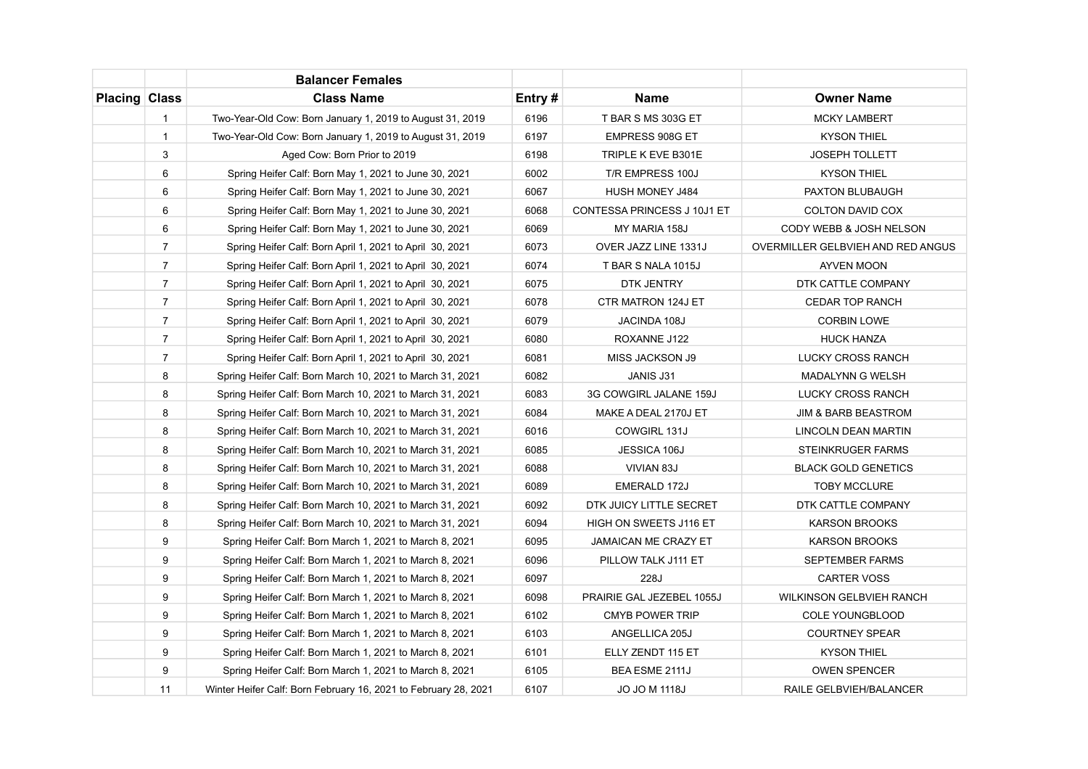|                      |                | <b>Balancer Females</b>                                         |        |                             |                                   |
|----------------------|----------------|-----------------------------------------------------------------|--------|-----------------------------|-----------------------------------|
| <b>Placing Class</b> |                | <b>Class Name</b>                                               | Entry# | <b>Name</b>                 | <b>Owner Name</b>                 |
|                      | $\mathbf{1}$   | Two-Year-Old Cow: Born January 1, 2019 to August 31, 2019       | 6196   | T BAR S MS 303G ET          | <b>MCKY LAMBERT</b>               |
|                      | $\mathbf{1}$   | Two-Year-Old Cow: Born January 1, 2019 to August 31, 2019       | 6197   | EMPRESS 908G ET             | <b>KYSON THIEL</b>                |
|                      | 3              | Aged Cow: Born Prior to 2019                                    | 6198   | TRIPLE K EVE B301E          | <b>JOSEPH TOLLETT</b>             |
|                      | 6              | Spring Heifer Calf: Born May 1, 2021 to June 30, 2021           | 6002   | T/R EMPRESS 100J            | <b>KYSON THIEL</b>                |
|                      | 6              | Spring Heifer Calf: Born May 1, 2021 to June 30, 2021           | 6067   | HUSH MONEY J484             | PAXTON BLUBAUGH                   |
|                      | 6              | Spring Heifer Calf: Born May 1, 2021 to June 30, 2021           | 6068   | CONTESSA PRINCESS J 10J1 ET | COLTON DAVID COX                  |
|                      | 6              | Spring Heifer Calf: Born May 1, 2021 to June 30, 2021           | 6069   | MY MARIA 158J               | CODY WEBB & JOSH NELSON           |
|                      | $\overline{7}$ | Spring Heifer Calf: Born April 1, 2021 to April 30, 2021        | 6073   | OVER JAZZ LINE 1331J        | OVERMILLER GELBVIEH AND RED ANGUS |
|                      | $\overline{7}$ | Spring Heifer Calf: Born April 1, 2021 to April 30, 2021        | 6074   | T BAR S NALA 1015J          | <b>AYVEN MOON</b>                 |
|                      | $\overline{7}$ | Spring Heifer Calf: Born April 1, 2021 to April 30, 2021        | 6075   | DTK JENTRY                  | DTK CATTLE COMPANY                |
|                      | $\overline{7}$ | Spring Heifer Calf: Born April 1, 2021 to April 30, 2021        | 6078   | CTR MATRON 124J ET          | <b>CEDAR TOP RANCH</b>            |
|                      | $\overline{7}$ | Spring Heifer Calf: Born April 1, 2021 to April 30, 2021        | 6079   | JACINDA 108J                | <b>CORBIN LOWE</b>                |
|                      | $\overline{7}$ | Spring Heifer Calf: Born April 1, 2021 to April 30, 2021        | 6080   | ROXANNE J122                | <b>HUCK HANZA</b>                 |
|                      | $\overline{7}$ | Spring Heifer Calf: Born April 1, 2021 to April 30, 2021        | 6081   | MISS JACKSON J9             | <b>LUCKY CROSS RANCH</b>          |
|                      | 8              | Spring Heifer Calf: Born March 10, 2021 to March 31, 2021       | 6082   | JANIS J31                   | <b>MADALYNN G WELSH</b>           |
|                      | 8              | Spring Heifer Calf: Born March 10, 2021 to March 31, 2021       | 6083   | 3G COWGIRL JALANE 159J      | LUCKY CROSS RANCH                 |
|                      | 8              | Spring Heifer Calf: Born March 10, 2021 to March 31, 2021       | 6084   | MAKE A DEAL 2170J ET        | <b>JIM &amp; BARB BEASTROM</b>    |
|                      | 8              | Spring Heifer Calf: Born March 10, 2021 to March 31, 2021       | 6016   | COWGIRL 131J                | LINCOLN DEAN MARTIN               |
|                      | 8              | Spring Heifer Calf: Born March 10, 2021 to March 31, 2021       | 6085   | JESSICA 106J                | STEINKRUGER FARMS                 |
|                      | 8              | Spring Heifer Calf: Born March 10, 2021 to March 31, 2021       | 6088   | VIVIAN 83J                  | <b>BLACK GOLD GENETICS</b>        |
|                      | 8              | Spring Heifer Calf: Born March 10, 2021 to March 31, 2021       | 6089   | EMERALD 172J                | <b>TOBY MCCLURE</b>               |
|                      | 8              | Spring Heifer Calf: Born March 10, 2021 to March 31, 2021       | 6092   | DTK JUICY LITTLE SECRET     | DTK CATTLE COMPANY                |
|                      | 8              | Spring Heifer Calf: Born March 10, 2021 to March 31, 2021       | 6094   | HIGH ON SWEETS J116 ET      | <b>KARSON BROOKS</b>              |
|                      | 9              | Spring Heifer Calf: Born March 1, 2021 to March 8, 2021         | 6095   | <b>JAMAICAN ME CRAZY ET</b> | <b>KARSON BROOKS</b>              |
|                      | 9              | Spring Heifer Calf: Born March 1, 2021 to March 8, 2021         | 6096   | PILLOW TALK J111 ET         | <b>SEPTEMBER FARMS</b>            |
|                      | 9              | Spring Heifer Calf: Born March 1, 2021 to March 8, 2021         | 6097   | 228J                        | <b>CARTER VOSS</b>                |
|                      | 9              | Spring Heifer Calf: Born March 1, 2021 to March 8, 2021         | 6098   | PRAIRIE GAL JEZEBEL 1055J   | WILKINSON GELBVIEH RANCH          |
|                      | 9              | Spring Heifer Calf: Born March 1, 2021 to March 8, 2021         | 6102   | <b>CMYB POWER TRIP</b>      | <b>COLE YOUNGBLOOD</b>            |
|                      | 9              | Spring Heifer Calf: Born March 1, 2021 to March 8, 2021         | 6103   | ANGELLICA 205J              | <b>COURTNEY SPEAR</b>             |
|                      | 9              | Spring Heifer Calf: Born March 1, 2021 to March 8, 2021         | 6101   | ELLY ZENDT 115 ET           | <b>KYSON THIEL</b>                |
|                      | 9              | Spring Heifer Calf: Born March 1, 2021 to March 8, 2021         | 6105   | BEA ESME 2111J              | <b>OWEN SPENCER</b>               |
|                      | 11             | Winter Heifer Calf: Born February 16, 2021 to February 28, 2021 | 6107   | <b>JO JO M 1118J</b>        | RAILE GELBVIEH/BALANCER           |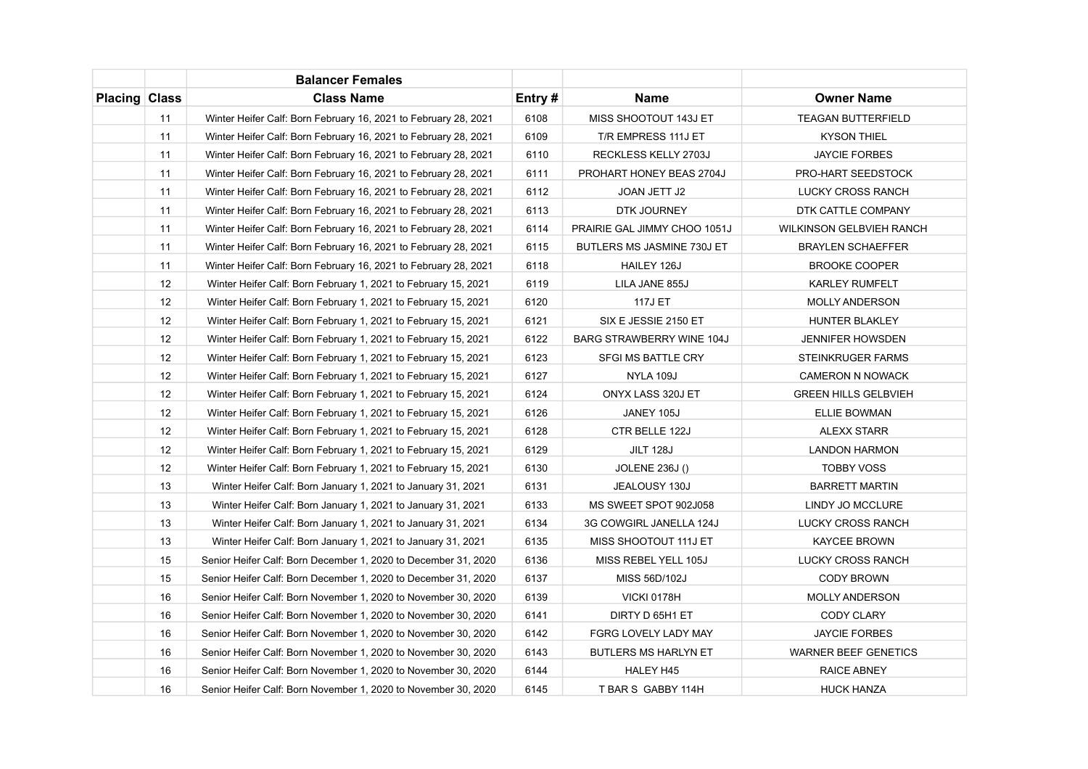|                      |    | <b>Balancer Females</b>                                         |        |                              |                                 |
|----------------------|----|-----------------------------------------------------------------|--------|------------------------------|---------------------------------|
| <b>Placing Class</b> |    | <b>Class Name</b>                                               | Entry# | <b>Name</b>                  | <b>Owner Name</b>               |
|                      | 11 | Winter Heifer Calf: Born February 16, 2021 to February 28, 2021 | 6108   | MISS SHOOTOUT 143J ET        | <b>TEAGAN BUTTERFIELD</b>       |
|                      | 11 | Winter Heifer Calf: Born February 16, 2021 to February 28, 2021 | 6109   | T/R EMPRESS 111J ET          | <b>KYSON THIEL</b>              |
|                      | 11 | Winter Heifer Calf: Born February 16, 2021 to February 28, 2021 | 6110   | RECKLESS KELLY 2703J         | <b>JAYCIE FORBES</b>            |
|                      | 11 | Winter Heifer Calf: Born February 16, 2021 to February 28, 2021 | 6111   | PROHART HONEY BEAS 2704J     | PRO-HART SEEDSTOCK              |
|                      | 11 | Winter Heifer Calf: Born February 16, 2021 to February 28, 2021 | 6112   | JOAN JETT J2                 | <b>LUCKY CROSS RANCH</b>        |
|                      | 11 | Winter Heifer Calf: Born February 16, 2021 to February 28, 2021 | 6113   | DTK JOURNEY                  | DTK CATTLE COMPANY              |
|                      | 11 | Winter Heifer Calf: Born February 16, 2021 to February 28, 2021 | 6114   | PRAIRIE GAL JIMMY CHOO 1051J | <b>WILKINSON GELBVIEH RANCH</b> |
|                      | 11 | Winter Heifer Calf: Born February 16, 2021 to February 28, 2021 | 6115   | BUTLERS MS JASMINE 730J ET   | <b>BRAYLEN SCHAEFFER</b>        |
|                      | 11 | Winter Heifer Calf: Born February 16, 2021 to February 28, 2021 | 6118   | HAILEY 126J                  | <b>BROOKE COOPER</b>            |
|                      | 12 | Winter Heifer Calf: Born February 1, 2021 to February 15, 2021  | 6119   | LILA JANE 855J               | <b>KARLEY RUMFELT</b>           |
|                      | 12 | Winter Heifer Calf: Born February 1, 2021 to February 15, 2021  | 6120   | <b>117J ET</b>               | <b>MOLLY ANDERSON</b>           |
|                      | 12 | Winter Heifer Calf: Born February 1, 2021 to February 15, 2021  | 6121   | SIX E JESSIE 2150 ET         | HUNTER BLAKLEY                  |
|                      | 12 | Winter Heifer Calf: Born February 1, 2021 to February 15, 2021  | 6122   | BARG STRAWBERRY WINE 104J    | <b>JENNIFER HOWSDEN</b>         |
|                      | 12 | Winter Heifer Calf: Born February 1, 2021 to February 15, 2021  | 6123   | SFGI MS BATTLE CRY           | STEINKRUGER FARMS               |
|                      | 12 | Winter Heifer Calf: Born February 1, 2021 to February 15, 2021  | 6127   | NYLA 109J                    | <b>CAMERON N NOWACK</b>         |
|                      | 12 | Winter Heifer Calf: Born February 1, 2021 to February 15, 2021  | 6124   | ONYX LASS 320J ET            | <b>GREEN HILLS GELBVIEH</b>     |
|                      | 12 | Winter Heifer Calf: Born February 1, 2021 to February 15, 2021  | 6126   | JANEY 105J                   | <b>ELLIE BOWMAN</b>             |
|                      | 12 | Winter Heifer Calf: Born February 1, 2021 to February 15, 2021  | 6128   | CTR BELLE 122J               | <b>ALEXX STARR</b>              |
|                      | 12 | Winter Heifer Calf: Born February 1, 2021 to February 15, 2021  | 6129   | <b>JILT 128J</b>             | <b>LANDON HARMON</b>            |
|                      | 12 | Winter Heifer Calf: Born February 1, 2021 to February 15, 2021  | 6130   | <b>JOLENE 236J ()</b>        | <b>TOBBY VOSS</b>               |
|                      | 13 | Winter Heifer Calf: Born January 1, 2021 to January 31, 2021    | 6131   | JEALOUSY 130J                | <b>BARRETT MARTIN</b>           |
|                      | 13 | Winter Heifer Calf: Born January 1, 2021 to January 31, 2021    | 6133   | MS SWEET SPOT 902J058        | LINDY JO MCCLURE                |
|                      | 13 | Winter Heifer Calf: Born January 1, 2021 to January 31, 2021    | 6134   | 3G COWGIRL JANELLA 124J      | <b>LUCKY CROSS RANCH</b>        |
|                      | 13 | Winter Heifer Calf: Born January 1, 2021 to January 31, 2021    | 6135   | MISS SHOOTOUT 111J ET        | <b>KAYCEE BROWN</b>             |
|                      | 15 | Senior Heifer Calf: Born December 1, 2020 to December 31, 2020  | 6136   | MISS REBEL YELL 105J         | <b>LUCKY CROSS RANCH</b>        |
|                      | 15 | Senior Heifer Calf: Born December 1, 2020 to December 31, 2020  | 6137   | MISS 56D/102J                | <b>CODY BROWN</b>               |
|                      | 16 | Senior Heifer Calf: Born November 1, 2020 to November 30, 2020  | 6139   | <b>VICKI 0178H</b>           | <b>MOLLY ANDERSON</b>           |
|                      | 16 | Senior Heifer Calf: Born November 1, 2020 to November 30, 2020  | 6141   | DIRTY D 65H1 ET              | <b>CODY CLARY</b>               |
|                      | 16 | Senior Heifer Calf: Born November 1, 2020 to November 30, 2020  | 6142   | FGRG LOVELY LADY MAY         | <b>JAYCIE FORBES</b>            |
|                      | 16 | Senior Heifer Calf: Born November 1, 2020 to November 30, 2020  | 6143   | <b>BUTLERS MS HARLYN ET</b>  | <b>WARNER BEEF GENETICS</b>     |
|                      | 16 | Senior Heifer Calf: Born November 1, 2020 to November 30, 2020  | 6144   | <b>HALEY H45</b>             | <b>RAICE ABNEY</b>              |
|                      | 16 | Senior Heifer Calf: Born November 1, 2020 to November 30, 2020  | 6145   | T BAR S GABBY 114H           | <b>HUCK HANZA</b>               |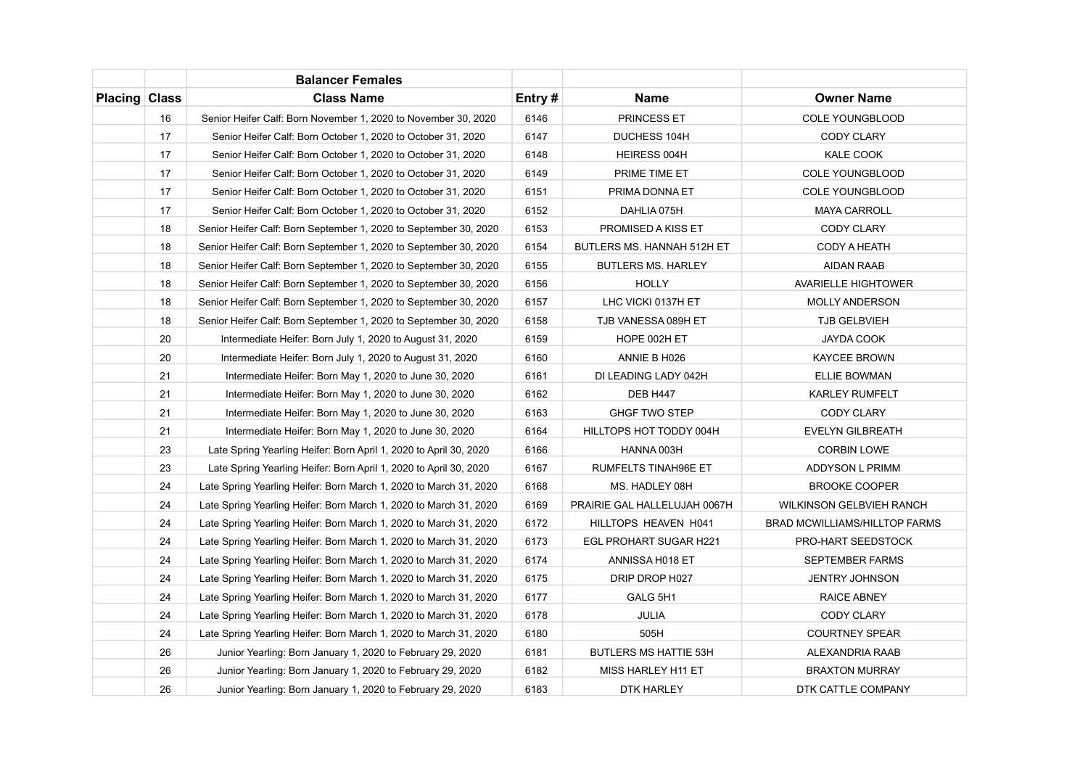|                      |    | <b>Balancer Females</b>                                           |        |                               |                                      |
|----------------------|----|-------------------------------------------------------------------|--------|-------------------------------|--------------------------------------|
| <b>Placing Class</b> |    | <b>Class Name</b>                                                 | Entry# | <b>Name</b>                   | <b>Owner Name</b>                    |
|                      | 16 | Senior Heifer Calf: Born November 1, 2020 to November 30, 2020    | 6146   | PRINCESS ET                   | <b>COLE YOUNGBLOOD</b>               |
|                      | 17 | Senior Heifer Calf: Born October 1, 2020 to October 31, 2020      | 6147   | DUCHESS 104H                  | <b>CODY CLARY</b>                    |
|                      | 17 | Senior Heifer Calf: Born October 1, 2020 to October 31, 2020      | 6148   | HEIRESS 004H                  | <b>KALE COOK</b>                     |
|                      | 17 | Senior Heifer Calf: Born October 1, 2020 to October 31, 2020      | 6149   | PRIME TIME ET                 | <b>COLE YOUNGBLOOD</b>               |
|                      | 17 | Senior Heifer Calf: Born October 1, 2020 to October 31, 2020      | 6151   | PRIMA DONNA ET                | <b>COLE YOUNGBLOOD</b>               |
|                      | 17 | Senior Heifer Calf: Born October 1, 2020 to October 31, 2020      | 6152   | DAHLIA 075H                   | <b>MAYA CARROLL</b>                  |
|                      | 18 | Senior Heifer Calf: Born September 1, 2020 to September 30, 2020  | 6153   | PROMISED A KISS ET            | <b>CODY CLARY</b>                    |
|                      | 18 | Senior Heifer Calf: Born September 1, 2020 to September 30, 2020  | 6154   | BUTLERS MS. HANNAH 512H ET    | <b>CODY A HEATH</b>                  |
|                      | 18 | Senior Heifer Calf: Born September 1, 2020 to September 30, 2020  | 6155   | <b>BUTLERS MS. HARLEY</b>     | <b>AIDAN RAAB</b>                    |
|                      | 18 | Senior Heifer Calf: Born September 1, 2020 to September 30, 2020  | 6156   | <b>HOLLY</b>                  | <b>AVARIELLE HIGHTOWER</b>           |
|                      | 18 | Senior Heifer Calf: Born September 1, 2020 to September 30, 2020  | 6157   | LHC VICKI 0137H ET            | <b>MOLLY ANDERSON</b>                |
|                      | 18 | Senior Heifer Calf: Born September 1, 2020 to September 30, 2020  | 6158   | TJB VANESSA 089H ET           | <b>TJB GELBVIEH</b>                  |
|                      | 20 | Intermediate Heifer: Born July 1, 2020 to August 31, 2020         | 6159   | HOPE 002H ET                  | JAYDA COOK                           |
|                      | 20 | Intermediate Heifer: Born July 1, 2020 to August 31, 2020         | 6160   | ANNIE B H026                  | <b>KAYCEE BROWN</b>                  |
|                      | 21 | Intermediate Heifer: Born May 1, 2020 to June 30, 2020            | 6161   | DI LEADING LADY 042H          | ELLIE BOWMAN                         |
|                      | 21 | Intermediate Heifer: Born May 1, 2020 to June 30, 2020            | 6162   | <b>DEB H447</b>               | <b>KARLEY RUMFELT</b>                |
|                      | 21 | Intermediate Heifer: Born May 1, 2020 to June 30, 2020            | 6163   | <b>GHGF TWO STEP</b>          | <b>CODY CLARY</b>                    |
|                      | 21 | Intermediate Heifer: Born May 1, 2020 to June 30, 2020            | 6164   | HILLTOPS HOT TODDY 004H       | <b>EVELYN GILBREATH</b>              |
|                      | 23 | Late Spring Yearling Heifer: Born April 1, 2020 to April 30, 2020 | 6166   | HANNA 003H                    | <b>CORBIN LOWE</b>                   |
|                      | 23 | Late Spring Yearling Heifer: Born April 1, 2020 to April 30, 2020 | 6167   | RUMFELTS TINAH96E ET          | ADDYSON L PRIMM                      |
|                      | 24 | Late Spring Yearling Heifer: Born March 1, 2020 to March 31, 2020 | 6168   | MS. HADLEY 08H                | <b>BROOKE COOPER</b>                 |
|                      | 24 | Late Spring Yearling Heifer: Born March 1, 2020 to March 31, 2020 | 6169   | PRAIRIE GAL HALLELUJAH 0067H  | <b>WILKINSON GELBVIEH RANCH</b>      |
|                      | 24 | Late Spring Yearling Heifer: Born March 1, 2020 to March 31, 2020 | 6172   | HILLTOPS HEAVEN H041          | <b>BRAD MCWILLIAMS/HILLTOP FARMS</b> |
|                      | 24 | Late Spring Yearling Heifer: Born March 1, 2020 to March 31, 2020 | 6173   | <b>EGL PROHART SUGAR H221</b> | PRO-HART SEEDSTOCK                   |
|                      | 24 | Late Spring Yearling Heifer: Born March 1, 2020 to March 31, 2020 | 6174   | ANNISSA H018 ET               | <b>SEPTEMBER FARMS</b>               |
|                      | 24 | Late Spring Yearling Heifer: Born March 1, 2020 to March 31, 2020 | 6175   | DRIP DROP H027                | <b>JENTRY JOHNSON</b>                |
|                      | 24 | Late Spring Yearling Heifer: Born March 1, 2020 to March 31, 2020 | 6177   | GALG 5H1                      | <b>RAICE ABNEY</b>                   |
|                      | 24 | Late Spring Yearling Heifer: Born March 1, 2020 to March 31, 2020 | 6178   | <b>JULIA</b>                  | <b>CODY CLARY</b>                    |
|                      | 24 | Late Spring Yearling Heifer: Born March 1, 2020 to March 31, 2020 | 6180   | 505H                          | <b>COURTNEY SPEAR</b>                |
|                      | 26 | Junior Yearling: Born January 1, 2020 to February 29, 2020        | 6181   | <b>BUTLERS MS HATTIE 53H</b>  | ALEXANDRIA RAAB                      |
|                      | 26 | Junior Yearling: Born January 1, 2020 to February 29, 2020        | 6182   | MISS HARLEY H11 ET            | <b>BRAXTON MURRAY</b>                |
|                      | 26 | Junior Yearling: Born January 1, 2020 to February 29, 2020        | 6183   | DTK HARLEY                    | DTK CATTLE COMPANY                   |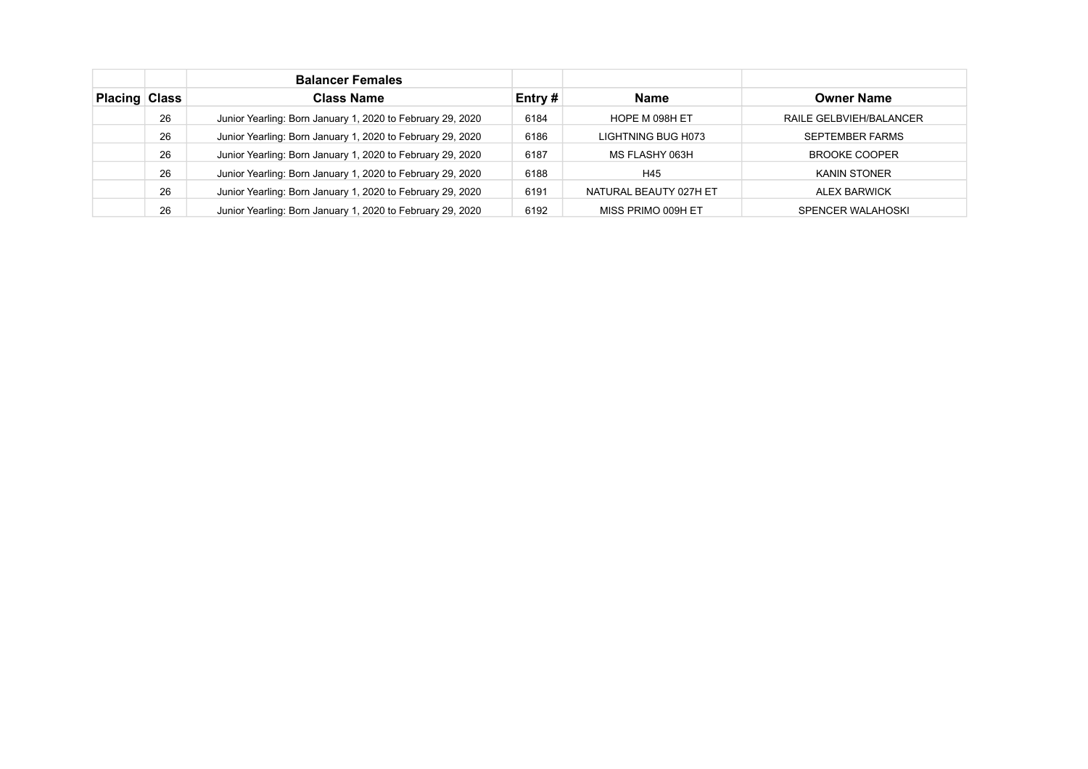|               |    | <b>Balancer Females</b>                                    |           |                        |                         |
|---------------|----|------------------------------------------------------------|-----------|------------------------|-------------------------|
| Placing Class |    | <b>Class Name</b>                                          | Entry $#$ | <b>Name</b>            | <b>Owner Name</b>       |
|               | 26 | Junior Yearling: Born January 1, 2020 to February 29, 2020 | 6184      | HOPE M 098H ET         | RAILE GELBVIEH/BALANCER |
|               | 26 | Junior Yearling: Born January 1, 2020 to February 29, 2020 | 6186      | LIGHTNING BUG H073     | <b>SEPTEMBER FARMS</b>  |
|               | 26 | Junior Yearling: Born January 1, 2020 to February 29, 2020 | 6187      | MS FLASHY 063H         | <b>BROOKE COOPER</b>    |
|               | 26 | Junior Yearling: Born January 1, 2020 to February 29, 2020 | 6188      | H45                    | <b>KANIN STONER</b>     |
|               | 26 | Junior Yearling: Born January 1, 2020 to February 29, 2020 | 6191      | NATURAL BEAUTY 027H ET | <b>ALEX BARWICK</b>     |
|               | 26 | Junior Yearling: Born January 1, 2020 to February 29, 2020 | 6192      | MISS PRIMO 009H ET     | SPENCER WALAHOSKI       |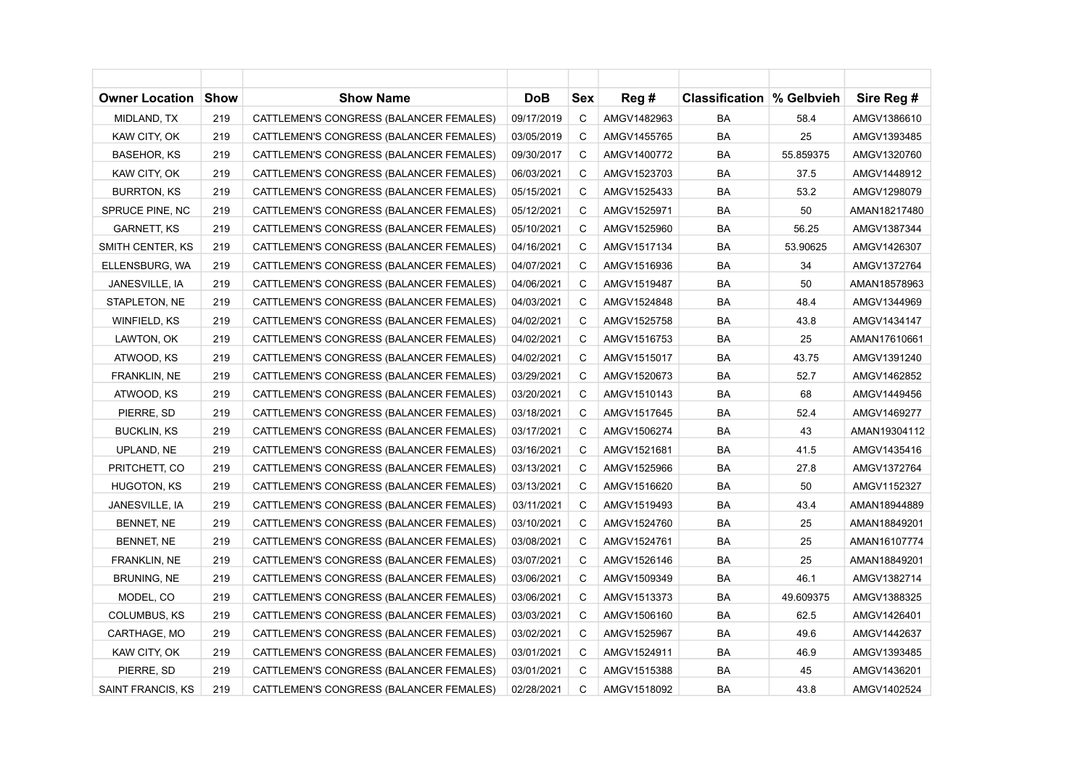| Owner Location     | <b>Show</b> | <b>Show Name</b>                        | <b>DoB</b> | Sex | Reg#        | <b>Classification % Gelbvieh</b> |           | Sire Reg #   |
|--------------------|-------------|-----------------------------------------|------------|-----|-------------|----------------------------------|-----------|--------------|
| MIDLAND, TX        | 219         | CATTLEMEN'S CONGRESS (BALANCER FEMALES) | 09/17/2019 | C   | AMGV1482963 | <b>BA</b>                        | 58.4      | AMGV1386610  |
| KAW CITY, OK       | 219         | CATTLEMEN'S CONGRESS (BALANCER FEMALES) | 03/05/2019 | С   | AMGV1455765 | BA                               | 25        | AMGV1393485  |
| BASEHOR, KS        | 219         | CATTLEMEN'S CONGRESS (BALANCER FEMALES) | 09/30/2017 | С   | AMGV1400772 | BA                               | 55.859375 | AMGV1320760  |
| KAW CITY, OK       | 219         | CATTLEMEN'S CONGRESS (BALANCER FEMALES) | 06/03/2021 | C   | AMGV1523703 | <b>BA</b>                        | 37.5      | AMGV1448912  |
| <b>BURRTON, KS</b> | 219         | CATTLEMEN'S CONGRESS (BALANCER FEMALES) | 05/15/2021 | C   | AMGV1525433 | BA                               | 53.2      | AMGV1298079  |
| SPRUCE PINE, NC    | 219         | CATTLEMEN'S CONGRESS (BALANCER FEMALES) | 05/12/2021 | С   | AMGV1525971 | BA                               | 50        | AMAN18217480 |
| <b>GARNETT, KS</b> | 219         | CATTLEMEN'S CONGRESS (BALANCER FEMALES) | 05/10/2021 | С   | AMGV1525960 | BA                               | 56.25     | AMGV1387344  |
| SMITH CENTER, KS   | 219         | CATTLEMEN'S CONGRESS (BALANCER FEMALES) | 04/16/2021 | C   | AMGV1517134 | BA                               | 53.90625  | AMGV1426307  |
| ELLENSBURG, WA     | 219         | CATTLEMEN'S CONGRESS (BALANCER FEMALES) | 04/07/2021 | C   | AMGV1516936 | BA                               | 34        | AMGV1372764  |
| JANESVILLE, IA     | 219         | CATTLEMEN'S CONGRESS (BALANCER FEMALES) | 04/06/2021 | C   | AMGV1519487 | BA                               | 50        | AMAN18578963 |
| STAPLETON, NE      | 219         | CATTLEMEN'S CONGRESS (BALANCER FEMALES) | 04/03/2021 | C   | AMGV1524848 | BA                               | 48.4      | AMGV1344969  |
| WINFIELD, KS       | 219         | CATTLEMEN'S CONGRESS (BALANCER FEMALES) | 04/02/2021 | С   | AMGV1525758 | BA                               | 43.8      | AMGV1434147  |
| LAWTON, OK         | 219         | CATTLEMEN'S CONGRESS (BALANCER FEMALES) | 04/02/2021 | С   | AMGV1516753 | BA                               | 25        | AMAN17610661 |
| ATWOOD, KS         | 219         | CATTLEMEN'S CONGRESS (BALANCER FEMALES) | 04/02/2021 | С   | AMGV1515017 | BA                               | 43.75     | AMGV1391240  |
| FRANKLIN, NE       | 219         | CATTLEMEN'S CONGRESS (BALANCER FEMALES) | 03/29/2021 | C   | AMGV1520673 | BA                               | 52.7      | AMGV1462852  |
| ATWOOD, KS         | 219         | CATTLEMEN'S CONGRESS (BALANCER FEMALES) | 03/20/2021 | С   | AMGV1510143 | BA                               | 68        | AMGV1449456  |
| PIERRE, SD         | 219         | CATTLEMEN'S CONGRESS (BALANCER FEMALES) | 03/18/2021 | С   | AMGV1517645 | BA                               | 52.4      | AMGV1469277  |
| <b>BUCKLIN, KS</b> | 219         | CATTLEMEN'S CONGRESS (BALANCER FEMALES) | 03/17/2021 | C   | AMGV1506274 | <b>BA</b>                        | 43        | AMAN19304112 |
| UPLAND, NE         | 219         | CATTLEMEN'S CONGRESS (BALANCER FEMALES) | 03/16/2021 | С   | AMGV1521681 | BA                               | 41.5      | AMGV1435416  |
| PRITCHETT, CO      | 219         | CATTLEMEN'S CONGRESS (BALANCER FEMALES) | 03/13/2021 | С   | AMGV1525966 | BA                               | 27.8      | AMGV1372764  |
| <b>HUGOTON, KS</b> | 219         | CATTLEMEN'S CONGRESS (BALANCER FEMALES) | 03/13/2021 | C   | AMGV1516620 | BA                               | 50        | AMGV1152327  |
| JANESVILLE, IA     | 219         | CATTLEMEN'S CONGRESS (BALANCER FEMALES) | 03/11/2021 | C   | AMGV1519493 | BA                               | 43.4      | AMAN18944889 |
| BENNET, NE         | 219         | CATTLEMEN'S CONGRESS (BALANCER FEMALES) | 03/10/2021 | C   | AMGV1524760 | BA                               | 25        | AMAN18849201 |
| BENNET, NE         | 219         | CATTLEMEN'S CONGRESS (BALANCER FEMALES) | 03/08/2021 | С   | AMGV1524761 | BA                               | 25        | AMAN16107774 |
| FRANKLIN, NE       | 219         | CATTLEMEN'S CONGRESS (BALANCER FEMALES) | 03/07/2021 | С   | AMGV1526146 | BA                               | 25        | AMAN18849201 |
| <b>BRUNING, NE</b> | 219         | CATTLEMEN'S CONGRESS (BALANCER FEMALES) | 03/06/2021 | С   | AMGV1509349 | BA                               | 46.1      | AMGV1382714  |
| MODEL, CO          | 219         | CATTLEMEN'S CONGRESS (BALANCER FEMALES) | 03/06/2021 | С   | AMGV1513373 | BA                               | 49.609375 | AMGV1388325  |
| COLUMBUS, KS       | 219         | CATTLEMEN'S CONGRESS (BALANCER FEMALES) | 03/03/2021 | C   | AMGV1506160 | <b>BA</b>                        | 62.5      | AMGV1426401  |
| CARTHAGE, MO       | 219         | CATTLEMEN'S CONGRESS (BALANCER FEMALES) | 03/02/2021 | C   | AMGV1525967 | BA                               | 49.6      | AMGV1442637  |
| KAW CITY, OK       | 219         | CATTLEMEN'S CONGRESS (BALANCER FEMALES) | 03/01/2021 | С   | AMGV1524911 | BA                               | 46.9      | AMGV1393485  |
| PIERRE, SD         | 219         | CATTLEMEN'S CONGRESS (BALANCER FEMALES) | 03/01/2021 | С   | AMGV1515388 | BA                               | 45        | AMGV1436201  |
| SAINT FRANCIS, KS  | 219         | CATTLEMEN'S CONGRESS (BALANCER FEMALES) | 02/28/2021 | C   | AMGV1518092 | BA                               | 43.8      | AMGV1402524  |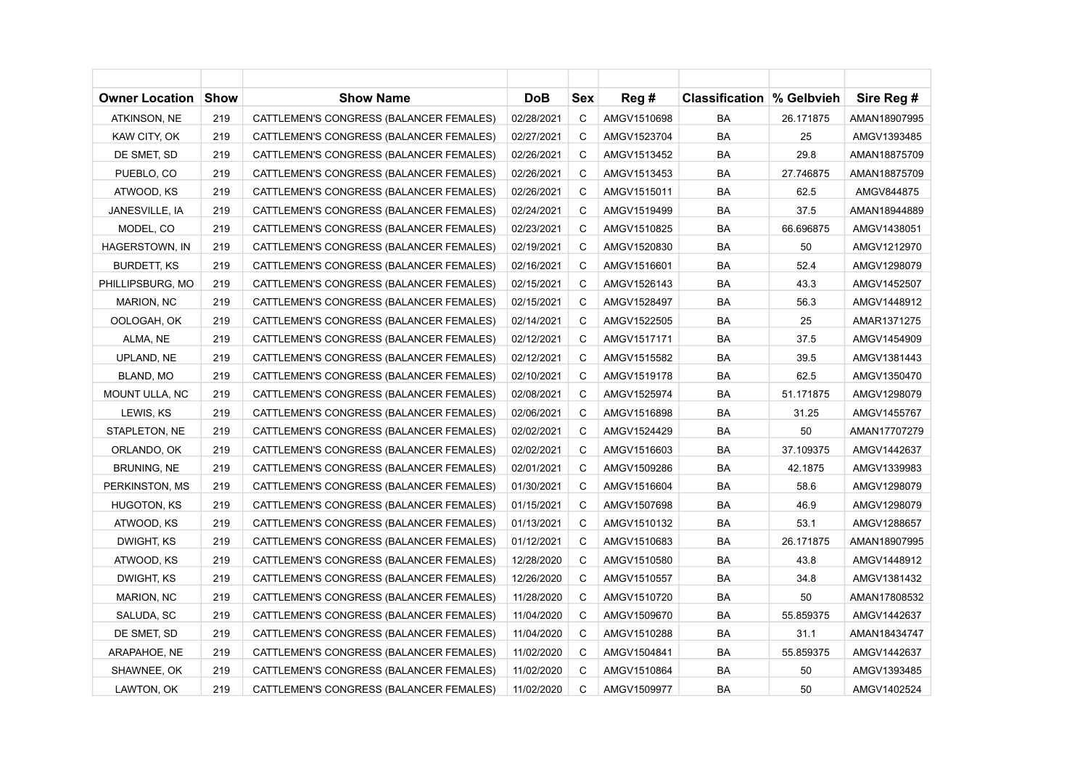| Owner Location        | <b>Show</b> | <b>Show Name</b>                        | <b>DoB</b> | Sex | Reg #       | <b>Classification % Gelbvieh</b> |           | Sire Reg #   |
|-----------------------|-------------|-----------------------------------------|------------|-----|-------------|----------------------------------|-----------|--------------|
| ATKINSON, NE          | 219         | CATTLEMEN'S CONGRESS (BALANCER FEMALES) | 02/28/2021 | C   | AMGV1510698 | <b>BA</b>                        | 26.171875 | AMAN18907995 |
| KAW CITY, OK          | 219         | CATTLEMEN'S CONGRESS (BALANCER FEMALES) | 02/27/2021 | C   | AMGV1523704 | BA                               | 25        | AMGV1393485  |
| DE SMET, SD           | 219         | CATTLEMEN'S CONGRESS (BALANCER FEMALES) | 02/26/2021 | С   | AMGV1513452 | BA                               | 29.8      | AMAN18875709 |
| PUEBLO, CO            | 219         | CATTLEMEN'S CONGRESS (BALANCER FEMALES) | 02/26/2021 | C   | AMGV1513453 | <b>BA</b>                        | 27.746875 | AMAN18875709 |
| ATWOOD, KS            | 219         | CATTLEMEN'S CONGRESS (BALANCER FEMALES) | 02/26/2021 | C   | AMGV1515011 | BA                               | 62.5      | AMGV844875   |
| JANESVILLE, IA        | 219         | CATTLEMEN'S CONGRESS (BALANCER FEMALES) | 02/24/2021 | C   | AMGV1519499 | BA                               | 37.5      | AMAN18944889 |
| MODEL, CO             | 219         | CATTLEMEN'S CONGRESS (BALANCER FEMALES) | 02/23/2021 | C   | AMGV1510825 | BA                               | 66.696875 | AMGV1438051  |
| HAGERSTOWN, IN        | 219         | CATTLEMEN'S CONGRESS (BALANCER FEMALES) | 02/19/2021 | C   | AMGV1520830 | BA                               | 50        | AMGV1212970  |
| BURDETT, KS           | 219         | CATTLEMEN'S CONGRESS (BALANCER FEMALES) | 02/16/2021 | C   | AMGV1516601 | BA                               | 52.4      | AMGV1298079  |
| PHILLIPSBURG, MO      | 219         | CATTLEMEN'S CONGRESS (BALANCER FEMALES) | 02/15/2021 | C   | AMGV1526143 | BA                               | 43.3      | AMGV1452507  |
| MARION, NC            | 219         | CATTLEMEN'S CONGRESS (BALANCER FEMALES) | 02/15/2021 | C   | AMGV1528497 | <b>BA</b>                        | 56.3      | AMGV1448912  |
| OOLOGAH, OK           | 219         | CATTLEMEN'S CONGRESS (BALANCER FEMALES) | 02/14/2021 | C   | AMGV1522505 | BA                               | 25        | AMAR1371275  |
| ALMA, NE              | 219         | CATTLEMEN'S CONGRESS (BALANCER FEMALES) | 02/12/2021 | С   | AMGV1517171 | BA                               | 37.5      | AMGV1454909  |
| UPLAND, NE            | 219         | CATTLEMEN'S CONGRESS (BALANCER FEMALES) | 02/12/2021 | C   | AMGV1515582 | BA                               | 39.5      | AMGV1381443  |
| BLAND, MO             | 219         | CATTLEMEN'S CONGRESS (BALANCER FEMALES) | 02/10/2021 | C   | AMGV1519178 | BA                               | 62.5      | AMGV1350470  |
| <b>MOUNT ULLA, NC</b> | 219         | CATTLEMEN'S CONGRESS (BALANCER FEMALES) | 02/08/2021 | C   | AMGV1525974 | BA                               | 51.171875 | AMGV1298079  |
| LEWIS, KS             | 219         | CATTLEMEN'S CONGRESS (BALANCER FEMALES) | 02/06/2021 | C   | AMGV1516898 | BA                               | 31.25     | AMGV1455767  |
| STAPLETON, NE         | 219         | CATTLEMEN'S CONGRESS (BALANCER FEMALES) | 02/02/2021 | C   | AMGV1524429 | BA                               | 50        | AMAN17707279 |
| ORLANDO, OK           | 219         | CATTLEMEN'S CONGRESS (BALANCER FEMALES) | 02/02/2021 | C   | AMGV1516603 | BA                               | 37.109375 | AMGV1442637  |
| BRUNING, NE           | 219         | CATTLEMEN'S CONGRESS (BALANCER FEMALES) | 02/01/2021 | С   | AMGV1509286 | BA                               | 42.1875   | AMGV1339983  |
| PERKINSTON, MS        | 219         | CATTLEMEN'S CONGRESS (BALANCER FEMALES) | 01/30/2021 | С   | AMGV1516604 | BA                               | 58.6      | AMGV1298079  |
| HUGOTON, KS           | 219         | CATTLEMEN'S CONGRESS (BALANCER FEMALES) | 01/15/2021 | C   | AMGV1507698 | BA                               | 46.9      | AMGV1298079  |
| ATWOOD, KS            | 219         | CATTLEMEN'S CONGRESS (BALANCER FEMALES) | 01/13/2021 | C   | AMGV1510132 | BA                               | 53.1      | AMGV1288657  |
| DWIGHT, KS            | 219         | CATTLEMEN'S CONGRESS (BALANCER FEMALES) | 01/12/2021 | C   | AMGV1510683 | BA                               | 26.171875 | AMAN18907995 |
| ATWOOD, KS            | 219         | CATTLEMEN'S CONGRESS (BALANCER FEMALES) | 12/28/2020 | C   | AMGV1510580 | BA                               | 43.8      | AMGV1448912  |
| DWIGHT, KS            | 219         | CATTLEMEN'S CONGRESS (BALANCER FEMALES) | 12/26/2020 | C   | AMGV1510557 | BA                               | 34.8      | AMGV1381432  |
| MARION, NC            | 219         | CATTLEMEN'S CONGRESS (BALANCER FEMALES) | 11/28/2020 | C   | AMGV1510720 | BA                               | 50        | AMAN17808532 |
| SALUDA, SC            | 219         | CATTLEMEN'S CONGRESS (BALANCER FEMALES) | 11/04/2020 | C   | AMGV1509670 | <b>BA</b>                        | 55.859375 | AMGV1442637  |
| DE SMET, SD           | 219         | CATTLEMEN'S CONGRESS (BALANCER FEMALES) | 11/04/2020 | C   | AMGV1510288 | BA                               | 31.1      | AMAN18434747 |
| ARAPAHOE, NE          | 219         | CATTLEMEN'S CONGRESS (BALANCER FEMALES) | 11/02/2020 | C   | AMGV1504841 | BA                               | 55.859375 | AMGV1442637  |
| SHAWNEE, OK           | 219         | CATTLEMEN'S CONGRESS (BALANCER FEMALES) | 11/02/2020 | C   | AMGV1510864 | BA                               | 50        | AMGV1393485  |
| LAWTON, OK            | 219         | CATTLEMEN'S CONGRESS (BALANCER FEMALES) | 11/02/2020 | C   | AMGV1509977 | BA                               | 50        | AMGV1402524  |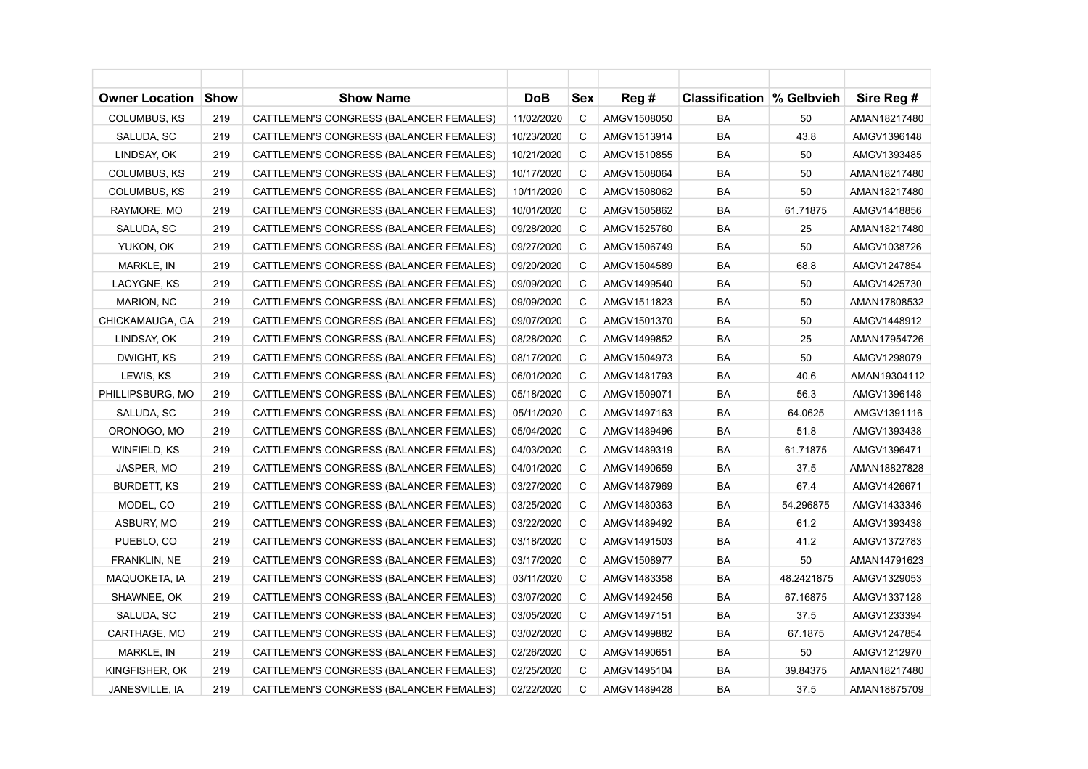| Owner Location      | Show | <b>Show Name</b>                        | <b>DoB</b> | Sex | Reg #       | <b>Classification % Gelbvieh</b> |            | Sire Reg #   |
|---------------------|------|-----------------------------------------|------------|-----|-------------|----------------------------------|------------|--------------|
| <b>COLUMBUS, KS</b> | 219  | CATTLEMEN'S CONGRESS (BALANCER FEMALES) | 11/02/2020 | C   | AMGV1508050 | BA                               | 50         | AMAN18217480 |
| SALUDA, SC          | 219  | CATTLEMEN'S CONGRESS (BALANCER FEMALES) | 10/23/2020 | C   | AMGV1513914 | BA                               | 43.8       | AMGV1396148  |
| LINDSAY, OK         | 219  | CATTLEMEN'S CONGRESS (BALANCER FEMALES) | 10/21/2020 | C   | AMGV1510855 | BA                               | 50         | AMGV1393485  |
| COLUMBUS, KS        | 219  | CATTLEMEN'S CONGRESS (BALANCER FEMALES) | 10/17/2020 | C   | AMGV1508064 | <b>BA</b>                        | 50         | AMAN18217480 |
| COLUMBUS, KS        | 219  | CATTLEMEN'S CONGRESS (BALANCER FEMALES) | 10/11/2020 | C   | AMGV1508062 | BA                               | 50         | AMAN18217480 |
| RAYMORE, MO         | 219  | CATTLEMEN'S CONGRESS (BALANCER FEMALES) | 10/01/2020 | C   | AMGV1505862 | BA                               | 61.71875   | AMGV1418856  |
| SALUDA, SC          | 219  | CATTLEMEN'S CONGRESS (BALANCER FEMALES) | 09/28/2020 | C   | AMGV1525760 | BA                               | 25         | AMAN18217480 |
| YUKON, OK           | 219  | CATTLEMEN'S CONGRESS (BALANCER FEMALES) | 09/27/2020 | C   | AMGV1506749 | BA                               | 50         | AMGV1038726  |
| MARKLE, IN          | 219  | CATTLEMEN'S CONGRESS (BALANCER FEMALES) | 09/20/2020 | C   | AMGV1504589 | BA                               | 68.8       | AMGV1247854  |
| LACYGNE, KS         | 219  | CATTLEMEN'S CONGRESS (BALANCER FEMALES) | 09/09/2020 | C   | AMGV1499540 | BA                               | 50         | AMGV1425730  |
| MARION, NC          | 219  | CATTLEMEN'S CONGRESS (BALANCER FEMALES) | 09/09/2020 | C   | AMGV1511823 | BA                               | 50         | AMAN17808532 |
| CHICKAMAUGA, GA     | 219  | CATTLEMEN'S CONGRESS (BALANCER FEMALES) | 09/07/2020 | С   | AMGV1501370 | BA                               | 50         | AMGV1448912  |
| LINDSAY, OK         | 219  | CATTLEMEN'S CONGRESS (BALANCER FEMALES) | 08/28/2020 | C   | AMGV1499852 | BA                               | 25         | AMAN17954726 |
| DWIGHT, KS          | 219  | CATTLEMEN'S CONGRESS (BALANCER FEMALES) | 08/17/2020 | C   | AMGV1504973 | BA                               | 50         | AMGV1298079  |
| LEWIS, KS           | 219  | CATTLEMEN'S CONGRESS (BALANCER FEMALES) | 06/01/2020 | C   | AMGV1481793 | BA                               | 40.6       | AMAN19304112 |
| PHILLIPSBURG, MO    | 219  | CATTLEMEN'S CONGRESS (BALANCER FEMALES) | 05/18/2020 | C   | AMGV1509071 | BA                               | 56.3       | AMGV1396148  |
| SALUDA, SC          | 219  | CATTLEMEN'S CONGRESS (BALANCER FEMALES) | 05/11/2020 | C   | AMGV1497163 | BA                               | 64.0625    | AMGV1391116  |
| ORONOGO, MO         | 219  | CATTLEMEN'S CONGRESS (BALANCER FEMALES) | 05/04/2020 | C   | AMGV1489496 | BA                               | 51.8       | AMGV1393438  |
| WINFIELD, KS        | 219  | CATTLEMEN'S CONGRESS (BALANCER FEMALES) | 04/03/2020 | C   | AMGV1489319 | BA                               | 61.71875   | AMGV1396471  |
| JASPER, MO          | 219  | CATTLEMEN'S CONGRESS (BALANCER FEMALES) | 04/01/2020 | C   | AMGV1490659 | BA                               | 37.5       | AMAN18827828 |
| <b>BURDETT, KS</b>  | 219  | CATTLEMEN'S CONGRESS (BALANCER FEMALES) | 03/27/2020 | C   | AMGV1487969 | BA                               | 67.4       | AMGV1426671  |
| MODEL, CO           | 219  | CATTLEMEN'S CONGRESS (BALANCER FEMALES) | 03/25/2020 | C   | AMGV1480363 | BA                               | 54.296875  | AMGV1433346  |
| ASBURY, MO          | 219  | CATTLEMEN'S CONGRESS (BALANCER FEMALES) | 03/22/2020 | C   | AMGV1489492 | BA                               | 61.2       | AMGV1393438  |
| PUEBLO, CO          | 219  | CATTLEMEN'S CONGRESS (BALANCER FEMALES) | 03/18/2020 | C   | AMGV1491503 | BA                               | 41.2       | AMGV1372783  |
| FRANKLIN, NE        | 219  | CATTLEMEN'S CONGRESS (BALANCER FEMALES) | 03/17/2020 | C   | AMGV1508977 | BA                               | 50         | AMAN14791623 |
| MAQUOKETA, IA       | 219  | CATTLEMEN'S CONGRESS (BALANCER FEMALES) | 03/11/2020 | C   | AMGV1483358 | BA                               | 48.2421875 | AMGV1329053  |
| SHAWNEE, OK         | 219  | CATTLEMEN'S CONGRESS (BALANCER FEMALES) | 03/07/2020 | C   | AMGV1492456 | BA                               | 67.16875   | AMGV1337128  |
| SALUDA, SC          | 219  | CATTLEMEN'S CONGRESS (BALANCER FEMALES) | 03/05/2020 | C   | AMGV1497151 | BA                               | 37.5       | AMGV1233394  |
| CARTHAGE, MO        | 219  | CATTLEMEN'S CONGRESS (BALANCER FEMALES) | 03/02/2020 | C   | AMGV1499882 | BA                               | 67.1875    | AMGV1247854  |
| MARKLE, IN          | 219  | CATTLEMEN'S CONGRESS (BALANCER FEMALES) | 02/26/2020 | C   | AMGV1490651 | BA                               | 50         | AMGV1212970  |
| KINGFISHER, OK      | 219  | CATTLEMEN'S CONGRESS (BALANCER FEMALES) | 02/25/2020 | C   | AMGV1495104 | BA                               | 39.84375   | AMAN18217480 |
| JANESVILLE, IA      | 219  | CATTLEMEN'S CONGRESS (BALANCER FEMALES) | 02/22/2020 | C   | AMGV1489428 | BA                               | 37.5       | AMAN18875709 |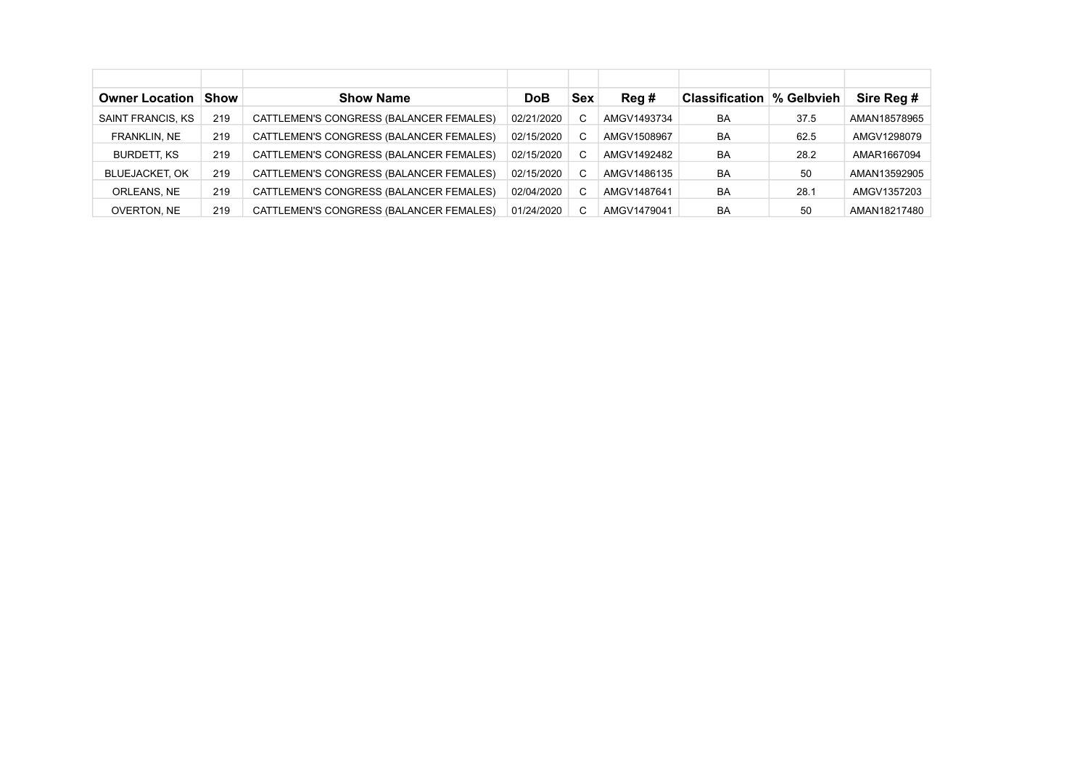| <b>Owner Location</b> | <b>Show</b> | <b>Show Name</b>                        | DoB        | <b>Sex</b> | Req#        | <b>Classification \% Gelbvieh</b> |      | Sire Reg #   |
|-----------------------|-------------|-----------------------------------------|------------|------------|-------------|-----------------------------------|------|--------------|
| SAINT FRANCIS, KS     | 219         | CATTLEMEN'S CONGRESS (BALANCER FEMALES) | 02/21/2020 |            | AMGV1493734 | BA                                | 37.5 | AMAN18578965 |
| FRANKLIN, NE          | 219         | CATTLEMEN'S CONGRESS (BALANCER FEMALES) | 02/15/2020 | C          | AMGV1508967 | BA                                | 62.5 | AMGV1298079  |
| <b>BURDETT, KS</b>    | 219         | CATTLEMEN'S CONGRESS (BALANCER FEMALES) | 02/15/2020 | C.         | AMGV1492482 | BA                                | 28.2 | AMAR1667094  |
| <b>BLUEJACKET, OK</b> | 219         | CATTLEMEN'S CONGRESS (BALANCER FEMALES) | 02/15/2020 |            | AMGV1486135 | BA                                | 50   | AMAN13592905 |
| ORLEANS, NE           | 219         | CATTLEMEN'S CONGRESS (BALANCER FEMALES) | 02/04/2020 |            | AMGV1487641 | BA                                | 28.1 | AMGV1357203  |
| OVERTON, NE           | 219         | CATTLEMEN'S CONGRESS (BALANCER FEMALES) | 01/24/2020 |            | AMGV1479041 | BA                                | 50   | AMAN18217480 |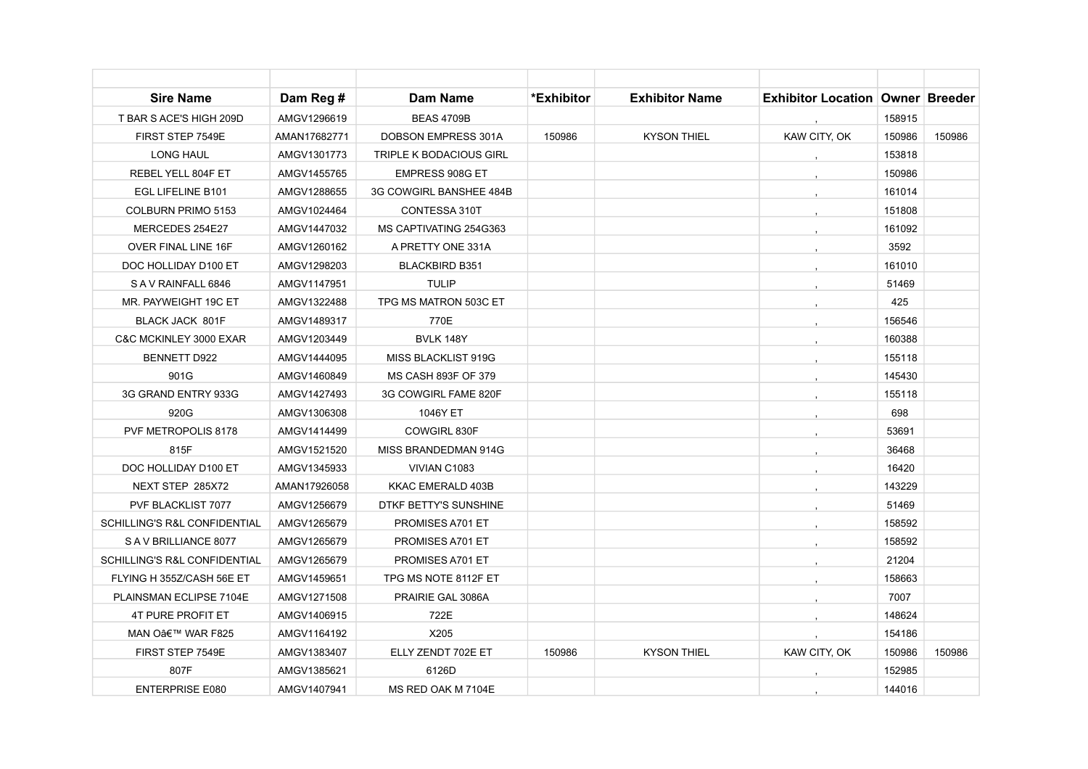| <b>Sire Name</b>                        | Dam Reg #    | <b>Dam Name</b>                | *Exhibitor | <b>Exhibitor Name</b> | <b>Exhibitor Location Owner Breeder</b> |        |        |
|-----------------------------------------|--------------|--------------------------------|------------|-----------------------|-----------------------------------------|--------|--------|
| T BAR S ACE'S HIGH 209D                 | AMGV1296619  | <b>BEAS 4709B</b>              |            |                       |                                         | 158915 |        |
| FIRST STEP 7549E                        | AMAN17682771 | DOBSON EMPRESS 301A            | 150986     | <b>KYSON THIEL</b>    | KAW CITY, OK                            | 150986 | 150986 |
| <b>LONG HAUL</b>                        | AMGV1301773  | <b>TRIPLE K BODACIOUS GIRL</b> |            |                       |                                         | 153818 |        |
| REBEL YELL 804F ET                      | AMGV1455765  | EMPRESS 908G ET                |            |                       |                                         | 150986 |        |
| EGL LIFELINE B101                       | AMGV1288655  | 3G COWGIRL BANSHEE 484B        |            |                       |                                         | 161014 |        |
| COLBURN PRIMO 5153                      | AMGV1024464  | CONTESSA 310T                  |            |                       |                                         | 151808 |        |
| MERCEDES 254E27                         | AMGV1447032  | MS CAPTIVATING 254G363         |            |                       |                                         | 161092 |        |
| OVER FINAL LINE 16F                     | AMGV1260162  | A PRETTY ONE 331A              |            |                       |                                         | 3592   |        |
| DOC HOLLIDAY D100 ET                    | AMGV1298203  | <b>BLACKBIRD B351</b>          |            |                       |                                         | 161010 |        |
| SAV RAINFALL 6846                       | AMGV1147951  | <b>TULIP</b>                   |            |                       |                                         | 51469  |        |
| MR. PAYWEIGHT 19C ET                    | AMGV1322488  | TPG MS MATRON 503C ET          |            |                       |                                         | 425    |        |
| BLACK JACK 801F                         | AMGV1489317  | 770E                           |            |                       |                                         | 156546 |        |
| C&C MCKINLEY 3000 EXAR                  | AMGV1203449  | <b>BVLK 148Y</b>               |            |                       |                                         | 160388 |        |
| <b>BENNETT D922</b>                     | AMGV1444095  | MISS BLACKLIST 919G            |            |                       |                                         | 155118 |        |
| 901G                                    | AMGV1460849  | <b>MS CASH 893F OF 379</b>     |            |                       |                                         | 145430 |        |
| 3G GRAND ENTRY 933G                     | AMGV1427493  | 3G COWGIRL FAME 820F           |            |                       |                                         | 155118 |        |
| 920G                                    | AMGV1306308  | 1046Y ET                       |            |                       |                                         | 698    |        |
| PVF METROPOLIS 8178                     | AMGV1414499  | COWGIRL 830F                   |            |                       |                                         | 53691  |        |
| 815F                                    | AMGV1521520  | MISS BRANDEDMAN 914G           |            |                       |                                         | 36468  |        |
| DOC HOLLIDAY D100 ET                    | AMGV1345933  | VIVIAN C1083                   |            |                       |                                         | 16420  |        |
| NEXT STEP 285X72                        | AMAN17926058 | KKAC EMERALD 403B              |            |                       |                                         | 143229 |        |
| PVF BLACKLIST 7077                      | AMGV1256679  | DTKF BETTY'S SUNSHINE          |            |                       |                                         | 51469  |        |
| <b>SCHILLING'S R&amp;L CONFIDENTIAL</b> | AMGV1265679  | PROMISES A701 ET               |            |                       |                                         | 158592 |        |
| SAV BRILLIANCE 8077                     | AMGV1265679  | PROMISES A701 ET               |            |                       |                                         | 158592 |        |
| SCHILLING'S R&L CONFIDENTIAL            | AMGV1265679  | PROMISES A701 ET               |            |                       |                                         | 21204  |        |
| FLYING H 355Z/CASH 56E ET               | AMGV1459651  | TPG MS NOTE 8112F ET           |            |                       |                                         | 158663 |        |
| PLAINSMAN ECLIPSE 7104E                 | AMGV1271508  | PRAIRIE GAL 3086A              |            |                       |                                         | 7007   |        |
| 4T PURE PROFIT ET                       | AMGV1406915  | 722E                           |            |                       |                                         | 148624 |        |
| MAN O' WAR F825                         | AMGV1164192  | X205                           |            |                       |                                         | 154186 |        |
| FIRST STEP 7549E                        | AMGV1383407  | ELLY ZENDT 702E ET             | 150986     | <b>KYSON THIEL</b>    | KAW CITY, OK                            | 150986 | 150986 |
| 807F                                    | AMGV1385621  | 6126D                          |            |                       |                                         | 152985 |        |
| <b>ENTERPRISE E080</b>                  | AMGV1407941  | MS RED OAK M 7104E             |            |                       |                                         | 144016 |        |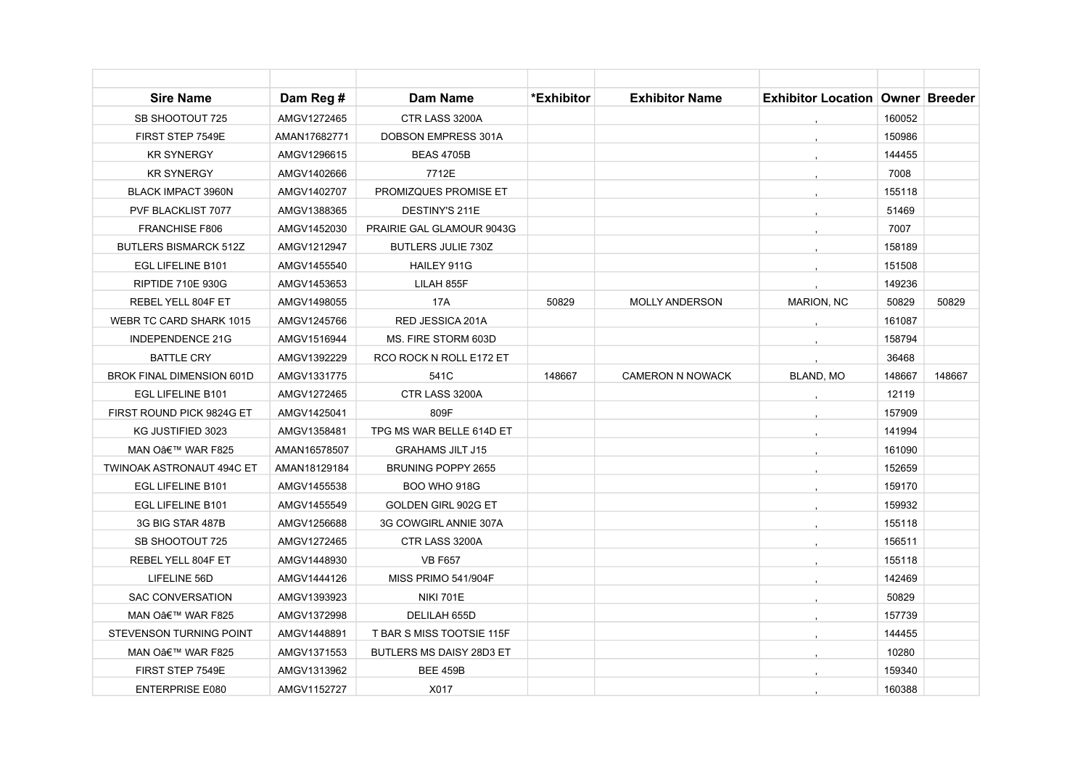| <b>Sire Name</b>                 | Dam Reg #    | <b>Dam Name</b>           | *Exhibitor | <b>Exhibitor Name</b>   | <b>Exhibitor Location   Owner   Breeder</b> |        |        |
|----------------------------------|--------------|---------------------------|------------|-------------------------|---------------------------------------------|--------|--------|
| SB SHOOTOUT 725                  | AMGV1272465  | CTR LASS 3200A            |            |                         |                                             | 160052 |        |
| FIRST STEP 7549E                 | AMAN17682771 | DOBSON EMPRESS 301A       |            |                         |                                             | 150986 |        |
| <b>KR SYNERGY</b>                | AMGV1296615  | <b>BEAS 4705B</b>         |            |                         |                                             | 144455 |        |
| <b>KR SYNERGY</b>                | AMGV1402666  | 7712E                     |            |                         |                                             | 7008   |        |
| <b>BLACK IMPACT 3960N</b>        | AMGV1402707  | PROMIZQUES PROMISE ET     |            |                         |                                             | 155118 |        |
| PVF BLACKLIST 7077               | AMGV1388365  | DESTINY'S 211E            |            |                         |                                             | 51469  |        |
| <b>FRANCHISE F806</b>            | AMGV1452030  | PRAIRIE GAL GLAMOUR 9043G |            |                         |                                             | 7007   |        |
| <b>BUTLERS BISMARCK 512Z</b>     | AMGV1212947  | <b>BUTLERS JULIE 730Z</b> |            |                         |                                             | 158189 |        |
| <b>EGL LIFELINE B101</b>         | AMGV1455540  | <b>HAILEY 911G</b>        |            |                         |                                             | 151508 |        |
| <b>RIPTIDE 710E 930G</b>         | AMGV1453653  | LILAH 855F                |            |                         |                                             | 149236 |        |
| REBEL YELL 804F ET               | AMGV1498055  | 17A                       | 50829      | <b>MOLLY ANDERSON</b>   | <b>MARION, NC</b>                           | 50829  | 50829  |
| WEBR TC CARD SHARK 1015          | AMGV1245766  | RED JESSICA 201A          |            |                         |                                             | 161087 |        |
| <b>INDEPENDENCE 21G</b>          | AMGV1516944  | MS. FIRE STORM 603D       |            |                         |                                             | 158794 |        |
| <b>BATTLE CRY</b>                | AMGV1392229  | RCO ROCK N ROLL E172 ET   |            |                         |                                             | 36468  |        |
| <b>BROK FINAL DIMENSION 601D</b> | AMGV1331775  | 541C                      | 148667     | <b>CAMERON N NOWACK</b> | BLAND, MO                                   | 148667 | 148667 |
| EGL LIFELINE B101                | AMGV1272465  | CTR LASS 3200A            |            |                         |                                             | 12119  |        |
| FIRST ROUND PICK 9824G ET        | AMGV1425041  | 809F                      |            |                         |                                             | 157909 |        |
| KG JUSTIFIED 3023                | AMGV1358481  | TPG MS WAR BELLE 614D ET  |            |                         |                                             | 141994 |        |
| MAN O' WAR F825                  | AMAN16578507 | <b>GRAHAMS JILT J15</b>   |            |                         |                                             | 161090 |        |
| <b>TWINOAK ASTRONAUT 494C ET</b> | AMAN18129184 | <b>BRUNING POPPY 2655</b> |            |                         |                                             | 152659 |        |
| EGL LIFELINE B101                | AMGV1455538  | <b>BOO WHO 918G</b>       |            |                         |                                             | 159170 |        |
| EGL LIFELINE B101                | AMGV1455549  | GOLDEN GIRL 902G ET       |            |                         |                                             | 159932 |        |
| 3G BIG STAR 487B                 | AMGV1256688  | 3G COWGIRL ANNIE 307A     |            |                         |                                             | 155118 |        |
| SB SHOOTOUT 725                  | AMGV1272465  | CTR LASS 3200A            |            |                         |                                             | 156511 |        |
| REBEL YELL 804F ET               | AMGV1448930  | <b>VB F657</b>            |            |                         |                                             | 155118 |        |
| LIFELINE 56D                     | AMGV1444126  | MISS PRIMO 541/904F       |            |                         |                                             | 142469 |        |
| <b>SAC CONVERSATION</b>          | AMGV1393923  | <b>NIKI 701E</b>          |            |                         |                                             | 50829  |        |
| MAN O' WAR F825                  | AMGV1372998  | DELILAH 655D              |            |                         |                                             | 157739 |        |
| STEVENSON TURNING POINT          | AMGV1448891  | T BAR S MISS TOOTSIE 115F |            |                         |                                             | 144455 |        |
| MAN O' WAR F825                  | AMGV1371553  | BUTLERS MS DAISY 28D3 ET  |            |                         |                                             | 10280  |        |
| FIRST STEP 7549E                 | AMGV1313962  | <b>BEE 459B</b>           |            |                         |                                             | 159340 |        |
| <b>ENTERPRISE E080</b>           | AMGV1152727  | X017                      |            |                         |                                             | 160388 |        |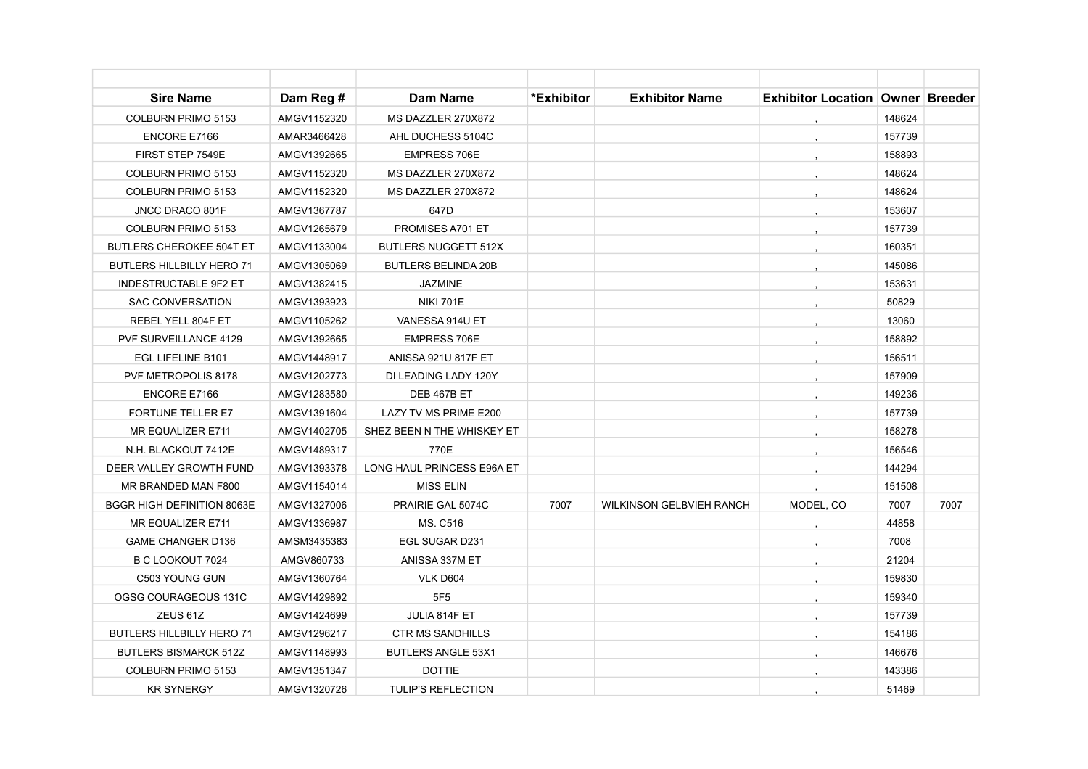| <b>Sire Name</b>                  | Dam Reg #   | <b>Dam Name</b>             | *Exhibitor | <b>Exhibitor Name</b>           | <b>Exhibitor Location Owner Breeder</b> |        |      |
|-----------------------------------|-------------|-----------------------------|------------|---------------------------------|-----------------------------------------|--------|------|
| COLBURN PRIMO 5153                | AMGV1152320 | MS DAZZLER 270X872          |            |                                 |                                         | 148624 |      |
| ENCORE E7166                      | AMAR3466428 | AHL DUCHESS 5104C           |            |                                 |                                         | 157739 |      |
| FIRST STEP 7549E                  | AMGV1392665 | <b>EMPRESS 706E</b>         |            |                                 |                                         | 158893 |      |
| COLBURN PRIMO 5153                | AMGV1152320 | MS DAZZLER 270X872          |            |                                 |                                         | 148624 |      |
| COLBURN PRIMO 5153                | AMGV1152320 | MS DAZZLER 270X872          |            |                                 |                                         | 148624 |      |
| JNCC DRACO 801F                   | AMGV1367787 | 647D                        |            |                                 |                                         | 153607 |      |
| COLBURN PRIMO 5153                | AMGV1265679 | PROMISES A701 ET            |            |                                 |                                         | 157739 |      |
| <b>BUTLERS CHEROKEE 504T ET</b>   | AMGV1133004 | <b>BUTLERS NUGGETT 512X</b> |            |                                 |                                         | 160351 |      |
| <b>BUTLERS HILLBILLY HERO 71</b>  | AMGV1305069 | <b>BUTLERS BELINDA 20B</b>  |            |                                 |                                         | 145086 |      |
| INDESTRUCTABLE 9F2 ET             | AMGV1382415 | <b>JAZMINE</b>              |            |                                 |                                         | 153631 |      |
| <b>SAC CONVERSATION</b>           | AMGV1393923 | <b>NIKI 701E</b>            |            |                                 |                                         | 50829  |      |
| REBEL YELL 804F ET                | AMGV1105262 | VANESSA 914U ET             |            |                                 |                                         | 13060  |      |
| <b>PVF SURVEILLANCE 4129</b>      | AMGV1392665 | <b>EMPRESS 706E</b>         |            |                                 |                                         | 158892 |      |
| EGL LIFELINE B101                 | AMGV1448917 | <b>ANISSA 921U 817F ET</b>  |            |                                 |                                         | 156511 |      |
| PVF METROPOLIS 8178               | AMGV1202773 | DI LEADING LADY 120Y        |            |                                 |                                         | 157909 |      |
| <b>ENCORE E7166</b>               | AMGV1283580 | DEB 467B ET                 |            |                                 |                                         | 149236 |      |
| <b>FORTUNE TELLER E7</b>          | AMGV1391604 | LAZY TV MS PRIME E200       |            |                                 |                                         | 157739 |      |
| MR EQUALIZER E711                 | AMGV1402705 | SHEZ BEEN N THE WHISKEY ET  |            |                                 |                                         | 158278 |      |
| N.H. BLACKOUT 7412E               | AMGV1489317 | 770E                        |            |                                 |                                         | 156546 |      |
| DEER VALLEY GROWTH FUND           | AMGV1393378 | LONG HAUL PRINCESS E96A ET  |            |                                 |                                         | 144294 |      |
| MR BRANDED MAN F800               | AMGV1154014 | <b>MISS ELIN</b>            |            |                                 |                                         | 151508 |      |
| <b>BGGR HIGH DEFINITION 8063E</b> | AMGV1327006 | PRAIRIE GAL 5074C           | 7007       | <b>WILKINSON GELBVIEH RANCH</b> | MODEL, CO                               | 7007   | 7007 |
| MR EQUALIZER E711                 | AMGV1336987 | MS. C516                    |            |                                 |                                         | 44858  |      |
| <b>GAME CHANGER D136</b>          | AMSM3435383 | EGL SUGAR D231              |            |                                 |                                         | 7008   |      |
| B C LOOKOUT 7024                  | AMGV860733  | ANISSA 337M ET              |            |                                 |                                         | 21204  |      |
| C503 YOUNG GUN                    | AMGV1360764 | VLK D604                    |            |                                 |                                         | 159830 |      |
| OGSG COURAGEOUS 131C              | AMGV1429892 | 5F <sub>5</sub>             |            |                                 |                                         | 159340 |      |
| ZEUS 61Z                          | AMGV1424699 | JULIA 814F ET               |            |                                 |                                         | 157739 |      |
| <b>BUTLERS HILLBILLY HERO 71</b>  | AMGV1296217 | <b>CTR MS SANDHILLS</b>     |            |                                 |                                         | 154186 |      |
| <b>BUTLERS BISMARCK 512Z</b>      | AMGV1148993 | <b>BUTLERS ANGLE 53X1</b>   |            |                                 |                                         | 146676 |      |
| COLBURN PRIMO 5153                | AMGV1351347 | <b>DOTTIE</b>               |            |                                 |                                         | 143386 |      |
| <b>KR SYNERGY</b>                 | AMGV1320726 | <b>TULIP'S REFLECTION</b>   |            |                                 |                                         | 51469  |      |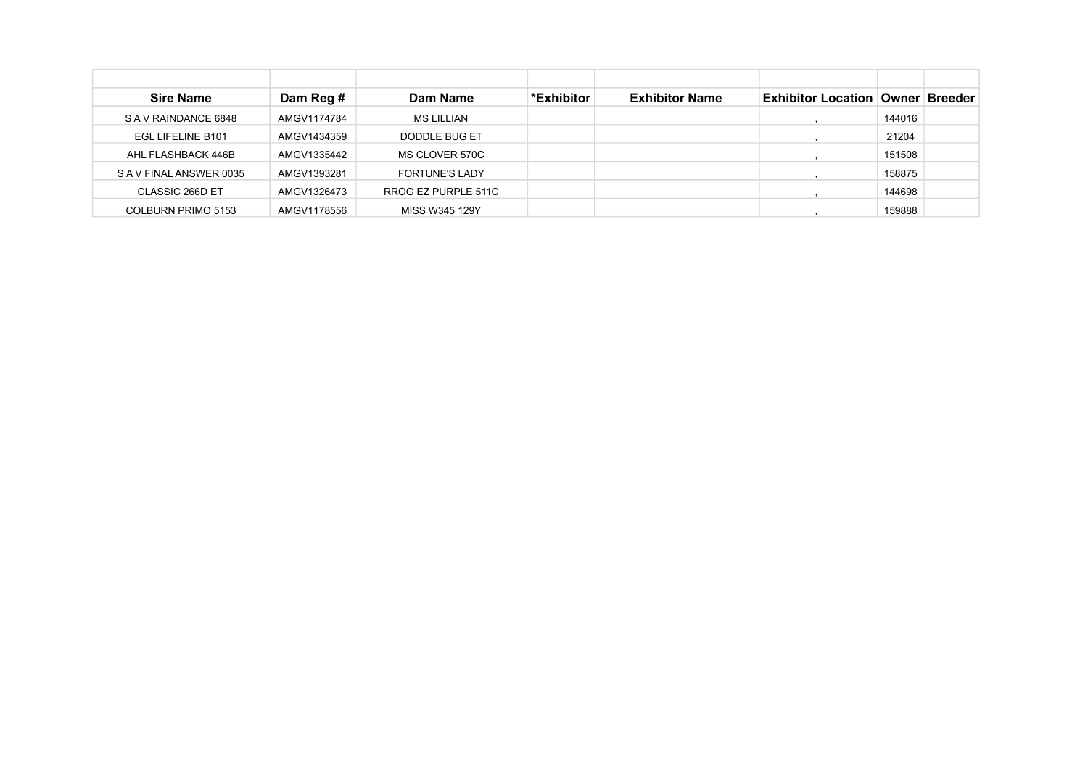| <b>Sire Name</b>      | Dam Reg #   | Dam Name              | *Exhibitor | <b>Exhibitor Name</b> | Exhibitor Location   Owner   Breeder |        |  |
|-----------------------|-------------|-----------------------|------------|-----------------------|--------------------------------------|--------|--|
| SAV RAINDANCE 6848    | AMGV1174784 | <b>MS LILLIAN</b>     |            |                       |                                      | 144016 |  |
| EGL LIFELINE B101     | AMGV1434359 | DODDLE BUG ET         |            |                       |                                      | 21204  |  |
| AHL FLASHBACK 446B    | AMGV1335442 | MS CLOVER 570C        |            |                       |                                      | 151508 |  |
| SAV FINAL ANSWER 0035 | AMGV1393281 | <b>FORTUNE'S LADY</b> |            |                       |                                      | 158875 |  |
| CLASSIC 266D ET       | AMGV1326473 | RROG EZ PURPLE 511C   |            |                       |                                      | 144698 |  |
| COLBURN PRIMO 5153    | AMGV1178556 | MISS W345 129Y        |            |                       |                                      | 159888 |  |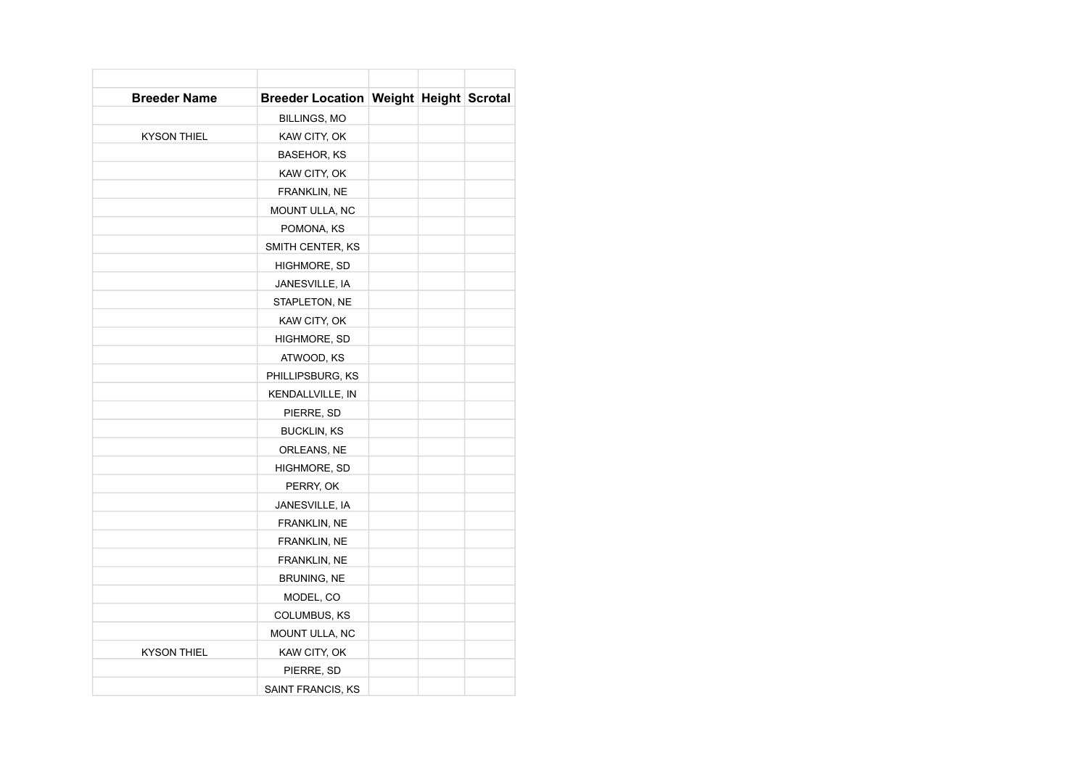| <b>Breeder Name</b> | <b>Breeder Location Weight Height Scrotal</b> |  |  |
|---------------------|-----------------------------------------------|--|--|
|                     | BILLINGS, MO                                  |  |  |
| <b>KYSON THIEL</b>  | KAW CITY, OK                                  |  |  |
|                     | BASEHOR, KS                                   |  |  |
|                     | KAW CITY, OK                                  |  |  |
|                     | FRANKLIN, NE                                  |  |  |
|                     | MOUNT ULLA, NC                                |  |  |
|                     | POMONA, KS                                    |  |  |
|                     | SMITH CENTER, KS                              |  |  |
|                     | HIGHMORE, SD                                  |  |  |
|                     | JANESVILLE, IA                                |  |  |
|                     | STAPLETON, NE                                 |  |  |
|                     | KAW CITY, OK                                  |  |  |
|                     | HIGHMORE, SD                                  |  |  |
|                     | ATWOOD, KS                                    |  |  |
|                     | PHILLIPSBURG, KS                              |  |  |
|                     | KENDALLVILLE, IN                              |  |  |
|                     | PIERRE, SD                                    |  |  |
|                     | <b>BUCKLIN, KS</b>                            |  |  |
|                     | ORLEANS, NE                                   |  |  |
|                     | HIGHMORE, SD                                  |  |  |
|                     | PERRY, OK                                     |  |  |
|                     | JANESVILLE, IA                                |  |  |
|                     | FRANKLIN, NE                                  |  |  |
|                     | FRANKLIN, NE                                  |  |  |
|                     | FRANKLIN, NE                                  |  |  |
|                     | <b>BRUNING, NE</b>                            |  |  |
|                     | MODEL, CO                                     |  |  |
|                     | COLUMBUS, KS                                  |  |  |
|                     | MOUNT ULLA, NC                                |  |  |
| <b>KYSON THIEL</b>  | KAW CITY, OK                                  |  |  |
|                     | PIERRE, SD                                    |  |  |
|                     | SAINT FRANCIS, KS                             |  |  |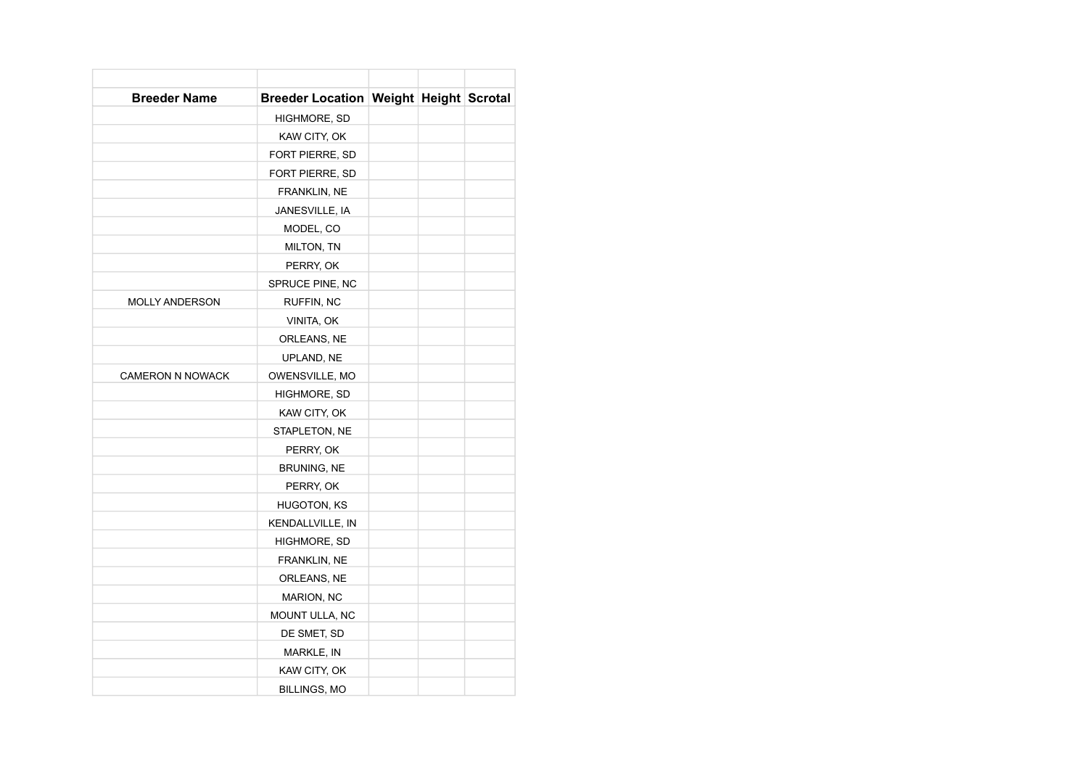| <b>Breeder Name</b>     | <b>Breeder Location Weight Height Scrotal</b> |  |  |
|-------------------------|-----------------------------------------------|--|--|
|                         | HIGHMORE, SD                                  |  |  |
|                         | KAW CITY, OK                                  |  |  |
|                         | FORT PIERRE, SD                               |  |  |
|                         | FORT PIERRE, SD                               |  |  |
|                         | FRANKLIN, NE                                  |  |  |
|                         | JANESVILLE, IA                                |  |  |
|                         | MODEL, CO                                     |  |  |
|                         | MILTON, TN                                    |  |  |
|                         | PERRY, OK                                     |  |  |
|                         | SPRUCE PINE, NC                               |  |  |
| <b>MOLLY ANDERSON</b>   | RUFFIN, NC                                    |  |  |
|                         | VINITA, OK                                    |  |  |
|                         | ORLEANS, NE                                   |  |  |
|                         | UPLAND, NE                                    |  |  |
| <b>CAMERON N NOWACK</b> | OWENSVILLE, MO                                |  |  |
|                         | HIGHMORE, SD                                  |  |  |
|                         | KAW CITY, OK                                  |  |  |
|                         | STAPLETON, NE                                 |  |  |
|                         | PERRY, OK                                     |  |  |
|                         | <b>BRUNING, NE</b>                            |  |  |
|                         | PERRY, OK                                     |  |  |
|                         | <b>HUGOTON, KS</b>                            |  |  |
|                         | KENDALLVILLE, IN                              |  |  |
|                         | HIGHMORE, SD                                  |  |  |
|                         | FRANKLIN, NE                                  |  |  |
|                         | ORLEANS, NE                                   |  |  |
|                         | <b>MARION, NC</b>                             |  |  |
|                         | MOUNT ULLA, NC                                |  |  |
|                         | DE SMET, SD                                   |  |  |
|                         | MARKLE, IN                                    |  |  |
|                         | KAW CITY, OK                                  |  |  |
|                         | <b>BILLINGS, MO</b>                           |  |  |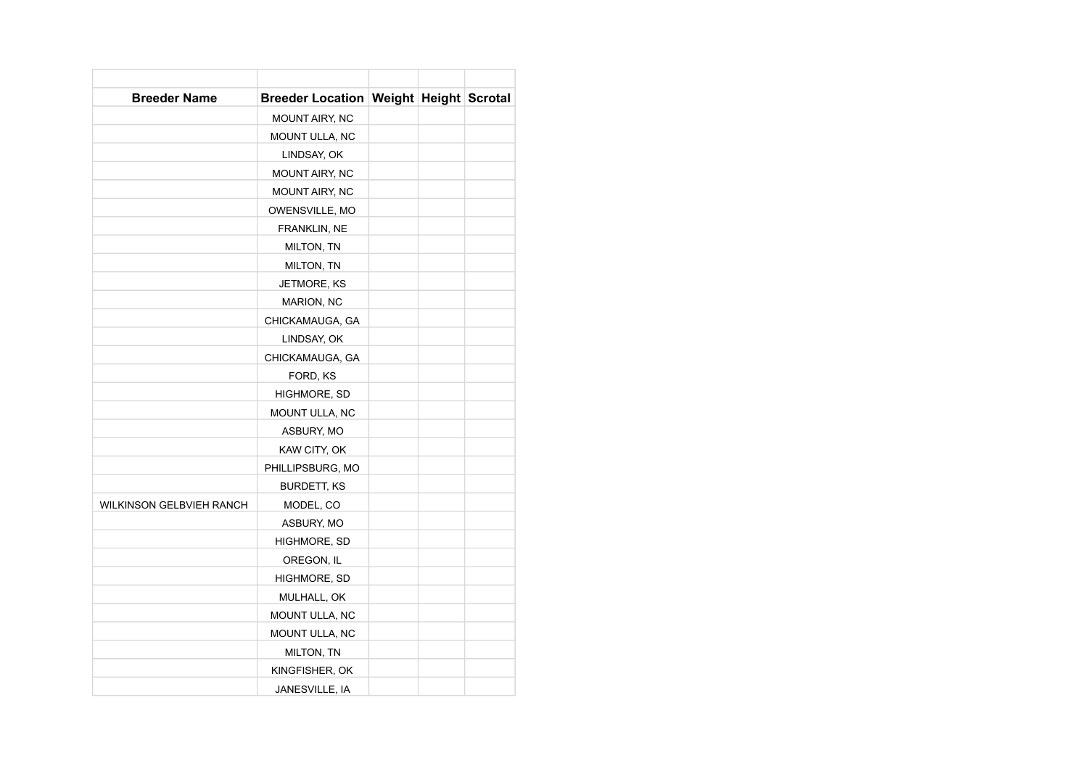| <b>Breeder Name</b>             | <b>Breeder Location Weight Height Scrotal</b> |  |  |
|---------------------------------|-----------------------------------------------|--|--|
|                                 | <b>MOUNT AIRY, NC</b>                         |  |  |
|                                 | MOUNT ULLA, NC                                |  |  |
|                                 | LINDSAY, OK                                   |  |  |
|                                 | MOUNT AIRY, NC                                |  |  |
|                                 | MOUNT AIRY, NC                                |  |  |
|                                 | OWENSVILLE, MO                                |  |  |
|                                 | FRANKLIN, NE                                  |  |  |
|                                 | MILTON, TN                                    |  |  |
|                                 | MILTON, TN                                    |  |  |
|                                 | JETMORE, KS                                   |  |  |
|                                 | MARION, NC                                    |  |  |
|                                 | CHICKAMAUGA, GA                               |  |  |
|                                 | LINDSAY, OK                                   |  |  |
|                                 | CHICKAMAUGA, GA                               |  |  |
|                                 | FORD, KS                                      |  |  |
|                                 | HIGHMORE, SD                                  |  |  |
|                                 | MOUNT ULLA, NC                                |  |  |
|                                 | ASBURY, MO                                    |  |  |
|                                 | KAW CITY, OK                                  |  |  |
|                                 | PHILLIPSBURG, MO                              |  |  |
|                                 | <b>BURDETT, KS</b>                            |  |  |
| <b>WILKINSON GELBVIEH RANCH</b> | MODEL, CO                                     |  |  |
|                                 | ASBURY, MO                                    |  |  |
|                                 | HIGHMORE, SD                                  |  |  |
|                                 | OREGON, IL                                    |  |  |
|                                 | HIGHMORE, SD                                  |  |  |
|                                 | MULHALL, OK                                   |  |  |
|                                 | MOUNT ULLA, NC                                |  |  |
|                                 | MOUNT ULLA, NC                                |  |  |
|                                 | MILTON, TN                                    |  |  |
|                                 | KINGFISHER, OK                                |  |  |
|                                 | JANESVILLE, IA                                |  |  |